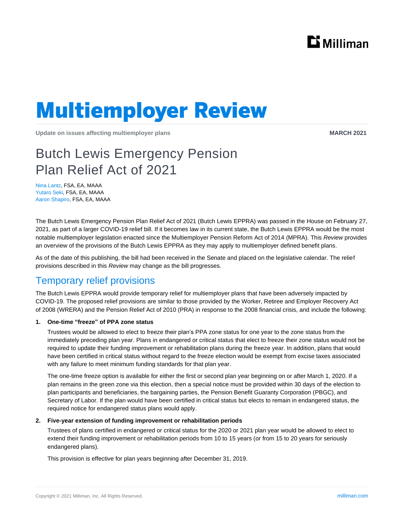

# **Multiemployer Review**

**Update on issues affecting multiemployer plans MARCH 2021 MARCH 2021** 

# Butch Lewis Emergency Pension Plan Relief Act of 2021

Nina Lantz, FSA, EA, MAAA Yutaro Seki, FSA, EA, MAAA Aaron Shapiro, FSA, EA, MAAA

The Butch Lewis Emergency Pension Plan Relief Act of 2021 (Butch Lewis EPPRA) was passed in the House on February 27, 2021, as part of a larger COVID-19 relief bill. If it becomes law in its current state, the Butch Lewis EPPRA would be the most notable multiemployer legislation enacted since the Multiemployer Pension Reform Act of 2014 (MPRA). This *Review* provides an overview of the provisions of the Butch Lewis EPPRA as they may apply to multiemployer defined benefit plans.

As of the date of this publishing, the bill had been received in the Senate and placed on the legislative calendar. The relief provisions described in this *Review* may change as the bill progresses.

# Temporary relief provisions

The Butch Lewis EPPRA would provide temporary relief for multiemployer plans that have been adversely impacted by COVID-19. The proposed relief provisions are similar to those provided by the Worker, Retiree and Employer Recovery Act of 2008 (WRERA) and the Pension Relief Act of 2010 (PRA) in response to the 2008 financial crisis, and include the following:

#### **1. One-time "freeze" of PPA zone status**

Trustees would be allowed to elect to freeze their plan's PPA zone status for one year to the zone status from the immediately preceding plan year. Plans in endangered or critical status that elect to freeze their zone status would not be required to update their funding improvement or rehabilitation plans during the freeze year. In addition, plans that would have been certified in critical status without regard to the freeze election would be exempt from excise taxes associated with any failure to meet minimum funding standards for that plan year.

The one-time freeze option is available for either the first or second plan year beginning on or after March 1, 2020. If a plan remains in the green zone via this election, then a special notice must be provided within 30 days of the election to plan participants and beneficiaries, the bargaining parties, the Pension Benefit Guaranty Corporation (PBGC), and Secretary of Labor. If the plan would have been certified in critical status but elects to remain in endangered status, the required notice for endangered status plans would apply.

#### **2. Five-year extension of funding improvement or rehabilitation periods**

Trustees of plans certified in endangered or critical status for the 2020 or 2021 plan year would be allowed to elect to extend their funding improvement or rehabilitation periods from 10 to 15 years (or from 15 to 20 years for seriously endangered plans).

This provision is effective for plan years beginning after December 31, 2019.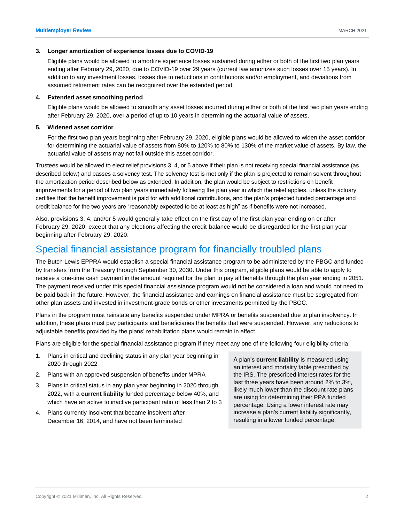#### **3. Longer amortization of experience losses due to COVID-19**

Eligible plans would be allowed to amortize experience losses sustained during either or both of the first two plan years ending after February 29, 2020, due to COVID-19 over 29 years (current law amortizes such losses over 15 years). In addition to any investment losses, losses due to reductions in contributions and/or employment, and deviations from assumed retirement rates can be recognized over the extended period.

#### **4. Extended asset smoothing period**

Eligible plans would be allowed to smooth any asset losses incurred during either or both of the first two plan years ending after February 29, 2020, over a period of up to 10 years in determining the actuarial value of assets.

#### **5. Widened asset corridor**

For the first two plan years beginning after February 29, 2020, eligible plans would be allowed to widen the asset corridor for determining the actuarial value of assets from 80% to 120% to 80% to 130% of the market value of assets. By law, the actuarial value of assets may not fall outside this asset corridor.

Trustees would be allowed to elect relief provisions 3, 4, or 5 above if their plan is not receiving special financial assistance (as described below) and passes a solvency test. The solvency test is met only if the plan is projected to remain solvent throughout the amortization period described below as extended. In addition, the plan would be subject to restrictions on benefit improvements for a period of two plan years immediately following the plan year in which the relief applies, unless the actuary certifies that the benefit improvement is paid for with additional contributions, and the plan's projected funded percentage and credit balance for the two years are "reasonably expected to be at least as high" as if benefits were not increased.

Also, provisions 3, 4, and/or 5 would generally take effect on the first day of the first plan year ending on or after February 29, 2020, except that any elections affecting the credit balance would be disregarded for the first plan year beginning after February 29, 2020.

## Special financial assistance program for financially troubled plans

The Butch Lewis EPPRA would establish a special financial assistance program to be administered by the PBGC and funded by transfers from the Treasury through September 30, 2030. Under this program, eligible plans would be able to apply to receive a one-time cash payment in the amount required for the plan to pay all benefits through the plan year ending in 2051. The payment received under this special financial assistance program would not be considered a loan and would not need to be paid back in the future. However, the financial assistance and earnings on financial assistance must be segregated from other plan assets and invested in investment-grade bonds or other investments permitted by the PBGC.

Plans in the program must reinstate any benefits suspended under MPRA or benefits suspended due to plan insolvency. In addition, these plans must pay participants and beneficiaries the benefits that were suspended. However, any reductions to adjustable benefits provided by the plans' rehabilitation plans would remain in effect.

Plans are eligible for the special financial assistance program if they meet any one of the following four eligibility criteria:

- 1. Plans in critical and declining status in any plan year beginning in 2020 through 2022
- 2. Plans with an approved suspension of benefits under MPRA
- 3. Plans in critical status in any plan year beginning in 2020 through 2022, with a **current liability** funded percentage below 40%, and which have an active to inactive participant ratio of less than 2 to 3
- 4. Plans currently insolvent that became insolvent after December 16, 2014, and have not been terminated

A plan's **current liability** is measured using an interest and mortality table prescribed by the IRS. The prescribed interest rates for the last three years have been around 2% to 3%, likely much lower than the discount rate plans are using for determining their PPA funded percentage. Using a lower interest rate may increase a plan's current liability significantly, resulting in a lower funded percentage.